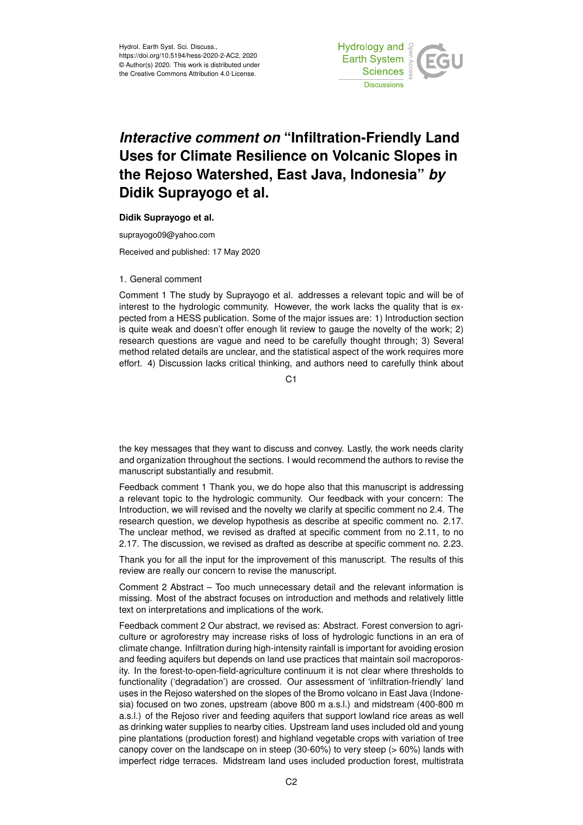

## *Interactive comment on* **"Infiltration-Friendly Land Uses for Climate Resilience on Volcanic Slopes in the Rejoso Watershed, East Java, Indonesia"** *by* **Didik Suprayogo et al.**

## **Didik Suprayogo et al.**

suprayogo09@yahoo.com

Received and published: 17 May 2020

## 1. General comment

Comment 1 The study by Suprayogo et al. addresses a relevant topic and will be of interest to the hydrologic community. However, the work lacks the quality that is expected from a HESS publication. Some of the major issues are: 1) Introduction section is quite weak and doesn't offer enough lit review to gauge the novelty of the work; 2) research questions are vague and need to be carefully thought through; 3) Several method related details are unclear, and the statistical aspect of the work requires more effort. 4) Discussion lacks critical thinking, and authors need to carefully think about

C<sub>1</sub>

the key messages that they want to discuss and convey. Lastly, the work needs clarity and organization throughout the sections. I would recommend the authors to revise the manuscript substantially and resubmit.

Feedback comment 1 Thank you, we do hope also that this manuscript is addressing a relevant topic to the hydrologic community. Our feedback with your concern: The Introduction, we will revised and the novelty we clarify at specific comment no 2.4. The research question, we develop hypothesis as describe at specific comment no. 2.17. The unclear method, we revised as drafted at specific comment from no 2.11, to no 2.17. The discussion, we revised as drafted as describe at specific comment no. 2.23.

Thank you for all the input for the improvement of this manuscript. The results of this review are really our concern to revise the manuscript.

Comment 2 Abstract – Too much unnecessary detail and the relevant information is missing. Most of the abstract focuses on introduction and methods and relatively little text on interpretations and implications of the work.

Feedback comment 2 Our abstract, we revised as: Abstract. Forest conversion to agriculture or agroforestry may increase risks of loss of hydrologic functions in an era of climate change. Infiltration during high-intensity rainfall is important for avoiding erosion and feeding aquifers but depends on land use practices that maintain soil macroporosity. In the forest-to-open-field-agriculture continuum it is not clear where thresholds to functionality ('degradation') are crossed. Our assessment of 'infiltration-friendly' land uses in the Rejoso watershed on the slopes of the Bromo volcano in East Java (Indonesia) focused on two zones, upstream (above 800 m a.s.l.) and midstream (400-800 m a.s.l.) of the Rejoso river and feeding aquifers that support lowland rice areas as well as drinking water supplies to nearby cities. Upstream land uses included old and young pine plantations (production forest) and highland vegetable crops with variation of tree canopy cover on the landscape on in steep (30-60%) to very steep (> 60%) lands with imperfect ridge terraces. Midstream land uses included production forest, multistrata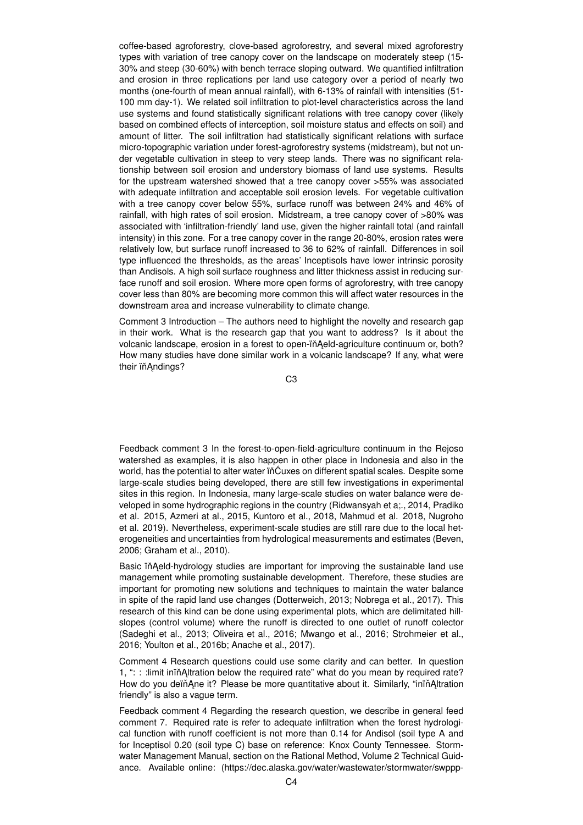coffee-based agroforestry, clove-based agroforestry, and several mixed agroforestry types with variation of tree canopy cover on the landscape on moderately steep (15- 30% and steep (30-60%) with bench terrace sloping outward. We quantified infiltration and erosion in three replications per land use category over a period of nearly two months (one-fourth of mean annual rainfall), with 6-13% of rainfall with intensities (51- 100 mm day-1). We related soil infiltration to plot-level characteristics across the land use systems and found statistically significant relations with tree canopy cover (likely based on combined effects of interception, soil moisture status and effects on soil) and amount of litter. The soil infiltration had statistically significant relations with surface micro-topographic variation under forest-agroforestry systems (midstream), but not under vegetable cultivation in steep to very steep lands. There was no significant relationship between soil erosion and understory biomass of land use systems. Results for the upstream watershed showed that a tree canopy cover >55% was associated with adequate infiltration and acceptable soil erosion levels. For vegetable cultivation with a tree canopy cover below 55%, surface runoff was between 24% and 46% of rainfall, with high rates of soil erosion. Midstream, a tree canopy cover of >80% was associated with 'infiltration-friendly' land use, given the higher rainfall total (and rainfall intensity) in this zone. For a tree canopy cover in the range 20-80%, erosion rates were relatively low, but surface runoff increased to 36 to 62% of rainfall. Differences in soil type influenced the thresholds, as the areas' Inceptisols have lower intrinsic porosity than Andisols. A high soil surface roughness and litter thickness assist in reducing surface runoff and soil erosion. Where more open forms of agroforestry, with tree canopy cover less than 80% are becoming more common this will affect water resources in the downstream area and increase vulnerability to climate change.

Comment 3 Introduction – The authors need to highlight the novelty and research gap in their work. What is the research gap that you want to address? Is it about the volcanic landscape, erosion in a forest to open-in Aeld-agriculture continuum or, both? How many studies have done similar work in a volcanic landscape? If any, what were their ïň Andings?

C3

Feedback comment 3 In the forest-to-open-field-agriculture continuum in the Rejoso watershed as examples, it is also happen in other place in Indonesia and also in the world, has the potential to alter water in Cuxes on different spatial scales. Despite some large-scale studies being developed, there are still few investigations in experimental sites in this region. In Indonesia, many large-scale studies on water balance were developed in some hydrographic regions in the country (Ridwansyah et a;., 2014, Pradiko et al. 2015, Azmeri at al., 2015, Kuntoro et al., 2018, Mahmud et al. 2018, Nugroho et al. 2019). Nevertheless, experiment-scale studies are still rare due to the local heterogeneities and uncertainties from hydrological measurements and estimates (Beven, 2006; Graham et al., 2010).

Basic in Aeld-hydrology studies are important for improving the sustainable land use management while promoting sustainable development. Therefore, these studies are important for promoting new solutions and techniques to maintain the water balance in spite of the rapid land use changes (Dotterweich, 2013; Nobrega et al., 2017). This research of this kind can be done using experimental plots, which are delimitated hillslopes (control volume) where the runoff is directed to one outlet of runoff colector (Sadeghi et al., 2013; Oliveira et al., 2016; Mwango et al., 2016; Strohmeier et al., 2016; Youlton et al., 2016b; Anache et al., 2017).

Comment 4 Research questions could use some clarity and can better. In question 1, " $\therefore$ : : : limit inin Altration below the required rate" what do you mean by required rate? How do you deïň Ane it? Please be more quantitative about it. Similarly, "iniň Altration friendly" is also a vague term.

Feedback comment 4 Regarding the research question, we describe in general feed comment 7. Required rate is refer to adequate infiltration when the forest hydrological function with runoff coefficient is not more than 0.14 for Andisol (soil type A and for Inceptisol 0.20 (soil type C) base on reference: Knox County Tennessee. Stormwater Management Manual, section on the Rational Method, Volume 2 Technical Guidance. Available online: (https://dec.alaska.gov/water/wastewater/stormwater/swppp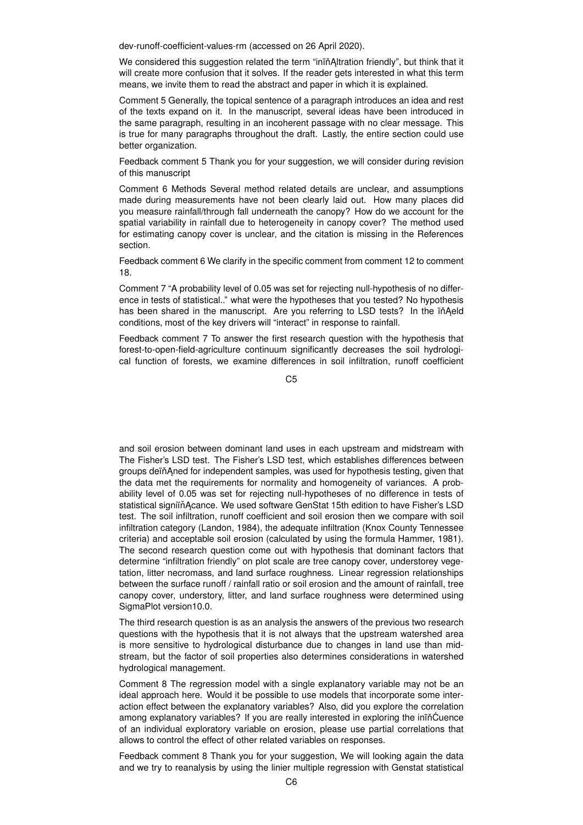dev-runoff-coefficient-values-rm (accessed on 26 April 2020).

We considered this suggestion related the term "inin Altration friendly", but think that it will create more confusion that it solves. If the reader gets interested in what this term means, we invite them to read the abstract and paper in which it is explained.

Comment 5 Generally, the topical sentence of a paragraph introduces an idea and rest of the texts expand on it. In the manuscript, several ideas have been introduced in the same paragraph, resulting in an incoherent passage with no clear message. This is true for many paragraphs throughout the draft. Lastly, the entire section could use better organization.

Feedback comment 5 Thank you for your suggestion, we will consider during revision of this manuscript

Comment 6 Methods Several method related details are unclear, and assumptions made during measurements have not been clearly laid out. How many places did you measure rainfall/through fall underneath the canopy? How do we account for the spatial variability in rainfall due to heterogeneity in canopy cover? The method used for estimating canopy cover is unclear, and the citation is missing in the References section.

Feedback comment 6 We clarify in the specific comment from comment 12 to comment 18.

Comment 7 "A probability level of 0.05 was set for rejecting null-hypothesis of no difference in tests of statistical.." what were the hypotheses that you tested? No hypothesis has been shared in the manuscript. Are you referring to LSD tests? In the in Aeld conditions, most of the key drivers will "interact" in response to rainfall.

Feedback comment 7 To answer the first research question with the hypothesis that forest-to-open-field-agriculture continuum significantly decreases the soil hydrological function of forests, we examine differences in soil infiltration, runoff coefficient

C5

and soil erosion between dominant land uses in each upstream and midstream with The Fisher's LSD test. The Fisher's LSD test, which establishes differences between groups deïnAned for independent samples, was used for hypothesis testing, given that the data met the requirements for normality and homogeneity of variances. A probability level of 0.05 was set for rejecting null-hypotheses of no difference in tests of statistical signiïň Acance. We used software GenStat 15th edition to have Fisher's LSD test. The soil infiltration, runoff coefficient and soil erosion then we compare with soil infiltration category (Landon, 1984), the adequate infiltration (Knox County Tennessee criteria) and acceptable soil erosion (calculated by using the formula Hammer, 1981). The second research question come out with hypothesis that dominant factors that determine "infiltration friendly" on plot scale are tree canopy cover, understorey vegetation, litter necromass, and land surface roughness. Linear regression relationships between the surface runoff / rainfall ratio or soil erosion and the amount of rainfall, tree canopy cover, understory, litter, and land surface roughness were determined using SigmaPlot version10.0.

The third research question is as an analysis the answers of the previous two research questions with the hypothesis that it is not always that the upstream watershed area is more sensitive to hydrological disturbance due to changes in land use than midstream, but the factor of soil properties also determines considerations in watershed hydrological management.

Comment 8 The regression model with a single explanatory variable may not be an ideal approach here. Would it be possible to use models that incorporate some interaction effect between the explanatory variables? Also, did you explore the correlation among explanatory variables? If you are really interested in exploring the inin<sup>c</sup>uence of an individual exploratory variable on erosion, please use partial correlations that allows to control the effect of other related variables on responses.

Feedback comment 8 Thank you for your suggestion, We will looking again the data and we try to reanalysis by using the linier multiple regression with Genstat statistical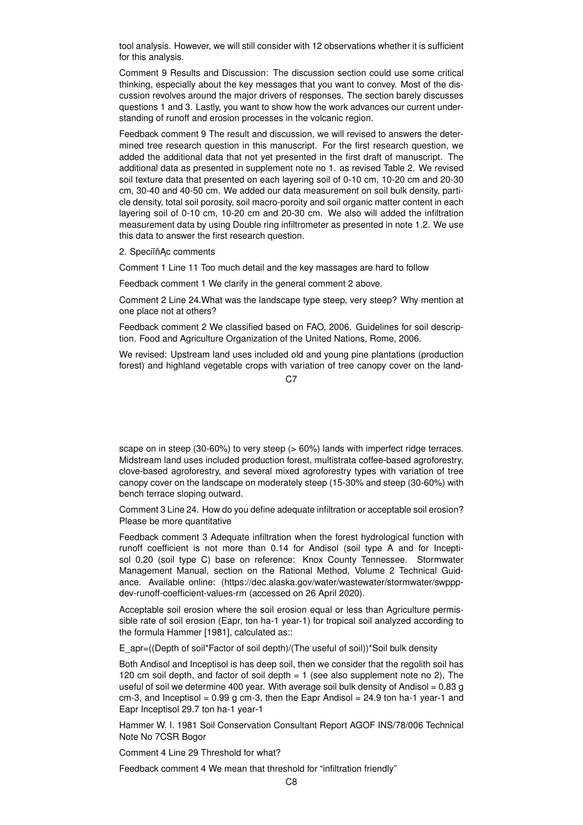tool analysis. However, we will still consider with 12 observations whether it is sufficient for this analysis.

Comment 9 Results and Discussion: The discussion section could use some critical thinking, especially about the key messages that you want to convey. Most of the discussion revolves around the major drivers of responses. The section barely discusses questions 1 and 3. Lastly, you want to show how the work advances our current understanding of runoff and erosion processes in the volcanic region.

Feedback comment 9 The result and discussion, we will revised to answers the determined tree research question in this manuscript. For the first research question, we added the additional data that not yet presented in the first draft of manuscript. The additional data as presented in supplement note no 1. as revised Table 2. We revised soil texture data that presented on each layering soil of 0-10 cm, 10-20 cm and 20-30 cm, 30-40 and 40-50 cm. We added our data measurement on soil bulk density, particle density, total soil porosity, soil macro-poroity and soil organic matter content in each layering soil of 0-10 cm, 10-20 cm and 20-30 cm. We also will added the infiltration measurement data by using Double ring infiltrometer as presented in note 1.2. We use this data to answer the first research question.

2. SpeciïňĄc comments

Comment 1 Line 11 Too much detail and the key massages are hard to follow

Feedback comment 1 We clarify in the general comment 2 above.

Comment 2 Line 24.What was the landscape type steep, very steep? Why mention at one place not at others?

Feedback comment 2 We classified based on FAO, 2006. Guidelines for soil description. Food and Agriculture Organization of the United Nations, Rome, 2006.

We revised: Upstream land uses included old and young pine plantations (production forest) and highland vegetable crops with variation of tree canopy cover on the land-

 $C<sub>2</sub>$ 

scape on in steep (30-60%) to very steep (> 60%) lands with imperfect ridge terraces. Midstream land uses included production forest, multistrata coffee-based agroforestry, clove-based agroforestry, and several mixed agroforestry types with variation of tree canopy cover on the landscape on moderately steep (15-30% and steep (30-60%) with bench terrace sloping outward.

Comment 3 Line 24. How do you define adequate infiltration or acceptable soil erosion? Please be more quantitative

Feedback comment 3 Adequate infiltration when the forest hydrological function with runoff coefficient is not more than 0.14 for Andisol (soil type A and for Inceptisol 0.20 (soil type C) base on reference: Knox County Tennessee. Stormwater Management Manual, section on the Rational Method, Volume 2 Technical Guidance. Available online: (https://dec.alaska.gov/water/wastewater/stormwater/swpppdev-runoff-coefficient-values-rm (accessed on 26 April 2020).

Acceptable soil erosion where the soil erosion equal or less than Agriculture permissible rate of soil erosion (Eapr, ton ha-1 year-1) for tropical soil analyzed according to the formula Hammer [1981], calculated as::

E\_apr=((Depth of soil\*Factor of soil depth)/(The useful of soil))\*Soil bulk density

Both Andisol and Inceptisol is has deep soil, then we consider that the regolith soil has 120 cm soil depth, and factor of soil depth  $= 1$  (see also supplement note no 2), The useful of soil we determine 400 year. With average soil bulk density of Andisol =  $0.83 g$ cm-3, and Inceptisol =  $0.99$  g cm-3, then the Eapr Andisol =  $24.9$  ton ha-1 year-1 and Eapr Inceptisol 29.7 ton ha-1 year-1

Hammer W. I. 1981 Soil Conservation Consultant Report AGOF INS/78/006 Technical Note No 7CSR Bogor

Comment 4 Line 29 Threshold for what?

Feedback comment 4 We mean that threshold for "infiltration friendly"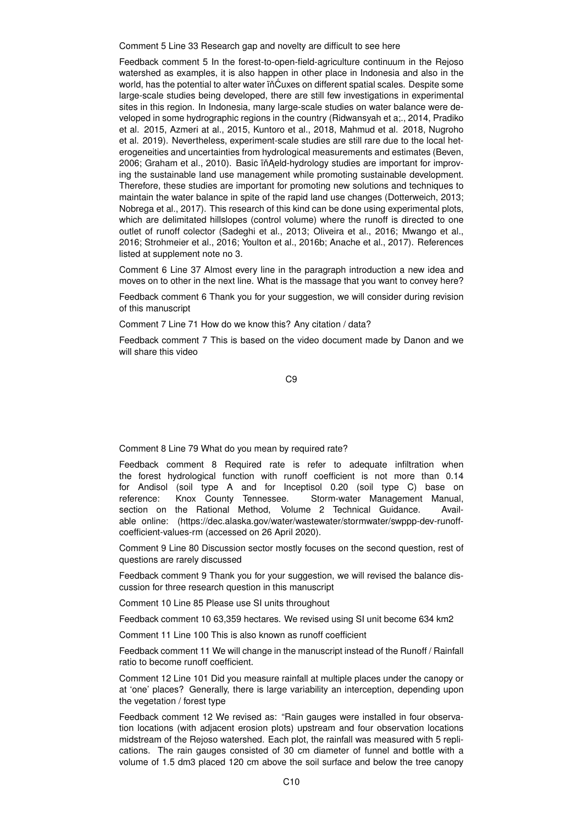Comment 5 Line 33 Research gap and novelty are difficult to see here

Feedback comment 5 In the forest-to-open-field-agriculture continuum in the Rejoso watershed as examples, it is also happen in other place in Indonesia and also in the world, has the potential to alter water in Cuxes on different spatial scales. Despite some large-scale studies being developed, there are still few investigations in experimental sites in this region. In Indonesia, many large-scale studies on water balance were developed in some hydrographic regions in the country (Ridwansyah et a;., 2014, Pradiko et al. 2015, Azmeri at al., 2015, Kuntoro et al., 2018, Mahmud et al. 2018, Nugroho et al. 2019). Nevertheless, experiment-scale studies are still rare due to the local heterogeneities and uncertainties from hydrological measurements and estimates (Beven, 2006; Graham et al., 2010). Basic ïňAeld-hydrology studies are important for improving the sustainable land use management while promoting sustainable development. Therefore, these studies are important for promoting new solutions and techniques to maintain the water balance in spite of the rapid land use changes (Dotterweich, 2013; Nobrega et al., 2017). This research of this kind can be done using experimental plots, which are delimitated hillslopes (control volume) where the runoff is directed to one outlet of runoff colector (Sadeghi et al., 2013; Oliveira et al., 2016; Mwango et al., 2016; Strohmeier et al., 2016; Youlton et al., 2016b; Anache et al., 2017). References listed at supplement note no 3.

Comment 6 Line 37 Almost every line in the paragraph introduction a new idea and moves on to other in the next line. What is the massage that you want to convey here?

Feedback comment 6 Thank you for your suggestion, we will consider during revision of this manuscript

Comment 7 Line 71 How do we know this? Any citation / data?

Feedback comment 7 This is based on the video document made by Danon and we will share this video

C9

Comment 8 Line 79 What do you mean by required rate?

Feedback comment 8 Required rate is refer to adequate infiltration when the forest hydrological function with runoff coefficient is not more than 0.14 for Andisol (soil type A and for Inceptisol 0.20 (soil type C) base on reference: Knox County Tennessee. Storm-water Management Manual, section on the Rational Method, Volume 2 Technical Guidance. Available online: (https://dec.alaska.gov/water/wastewater/stormwater/swppp-dev-runoffcoefficient-values-rm (accessed on 26 April 2020).

Comment 9 Line 80 Discussion sector mostly focuses on the second question, rest of questions are rarely discussed

Feedback comment 9 Thank you for your suggestion, we will revised the balance discussion for three research question in this manuscript

Comment 10 Line 85 Please use SI units throughout

Feedback comment 10 63,359 hectares. We revised using SI unit become 634 km2

Comment 11 Line 100 This is also known as runoff coefficient

Feedback comment 11 We will change in the manuscript instead of the Runoff / Rainfall ratio to become runoff coefficient.

Comment 12 Line 101 Did you measure rainfall at multiple places under the canopy or at 'one' places? Generally, there is large variability an interception, depending upon the vegetation / forest type

Feedback comment 12 We revised as: "Rain gauges were installed in four observation locations (with adjacent erosion plots) upstream and four observation locations midstream of the Rejoso watershed. Each plot, the rainfall was measured with 5 replications. The rain gauges consisted of 30 cm diameter of funnel and bottle with a volume of 1.5 dm3 placed 120 cm above the soil surface and below the tree canopy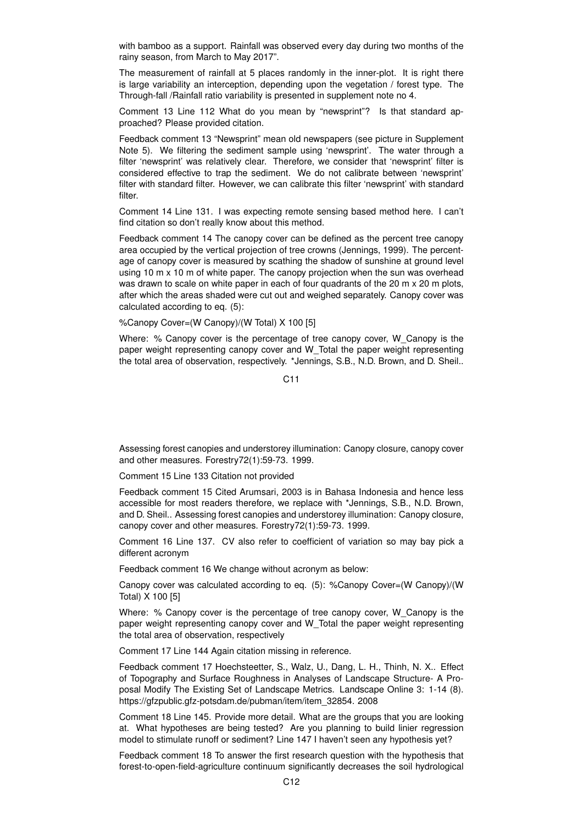with bamboo as a support. Rainfall was observed every day during two months of the rainy season, from March to May 2017".

The measurement of rainfall at 5 places randomly in the inner-plot. It is right there is large variability an interception, depending upon the vegetation / forest type. The Through-fall /Rainfall ratio variability is presented in supplement note no 4.

Comment 13 Line 112 What do you mean by "newsprint"? Is that standard approached? Please provided citation.

Feedback comment 13 "Newsprint" mean old newspapers (see picture in Supplement Note 5). We filtering the sediment sample using 'newsprint'. The water through a filter 'newsprint' was relatively clear. Therefore, we consider that 'newsprint' filter is considered effective to trap the sediment. We do not calibrate between 'newsprint' filter with standard filter. However, we can calibrate this filter 'newsprint' with standard filter.

Comment 14 Line 131. I was expecting remote sensing based method here. I can't find citation so don't really know about this method.

Feedback comment 14 The canopy cover can be defined as the percent tree canopy area occupied by the vertical projection of tree crowns (Jennings, 1999). The percentage of canopy cover is measured by scathing the shadow of sunshine at ground level using 10 m x 10 m of white paper. The canopy projection when the sun was overhead was drawn to scale on white paper in each of four quadrants of the 20 m x 20 m plots, after which the areas shaded were cut out and weighed separately. Canopy cover was calculated according to eq. (5):

%Canopy Cover=(W Canopy)/(W Total) X 100 [5]

Where: % Canopy cover is the percentage of tree canopy cover, W Canopy is the paper weight representing canopy cover and W\_Total the paper weight representing the total area of observation, respectively. \*Jennings, S.B., N.D. Brown, and D. Sheil..

C11

Assessing forest canopies and understorey illumination: Canopy closure, canopy cover and other measures. Forestry72(1):59-73. 1999.

Comment 15 Line 133 Citation not provided

Feedback comment 15 Cited Arumsari, 2003 is in Bahasa Indonesia and hence less accessible for most readers therefore, we replace with \*Jennings, S.B., N.D. Brown, and D. Sheil.. Assessing forest canopies and understorey illumination: Canopy closure, canopy cover and other measures. Forestry72(1):59-73. 1999.

Comment 16 Line 137. CV also refer to coefficient of variation so may bay pick a different acronym

Feedback comment 16 We change without acronym as below:

Canopy cover was calculated according to eq. (5): %Canopy Cover=(W Canopy)/(W Total) X 100 [5]

Where: % Canopy cover is the percentage of tree canopy cover, W Canopy is the paper weight representing canopy cover and W\_Total the paper weight representing the total area of observation, respectively

Comment 17 Line 144 Again citation missing in reference.

Feedback comment 17 Hoechsteetter, S., Walz, U., Dang, L. H., Thinh, N. X.. Effect of Topography and Surface Roughness in Analyses of Landscape Structure- A Proposal Modify The Existing Set of Landscape Metrics. Landscape Online 3: 1-14 (8). https://gfzpublic.gfz-potsdam.de/pubman/item/item\_32854. 2008

Comment 18 Line 145. Provide more detail. What are the groups that you are looking at. What hypotheses are being tested? Are you planning to build linier regression model to stimulate runoff or sediment? Line 147 I haven't seen any hypothesis yet?

Feedback comment 18 To answer the first research question with the hypothesis that forest-to-open-field-agriculture continuum significantly decreases the soil hydrological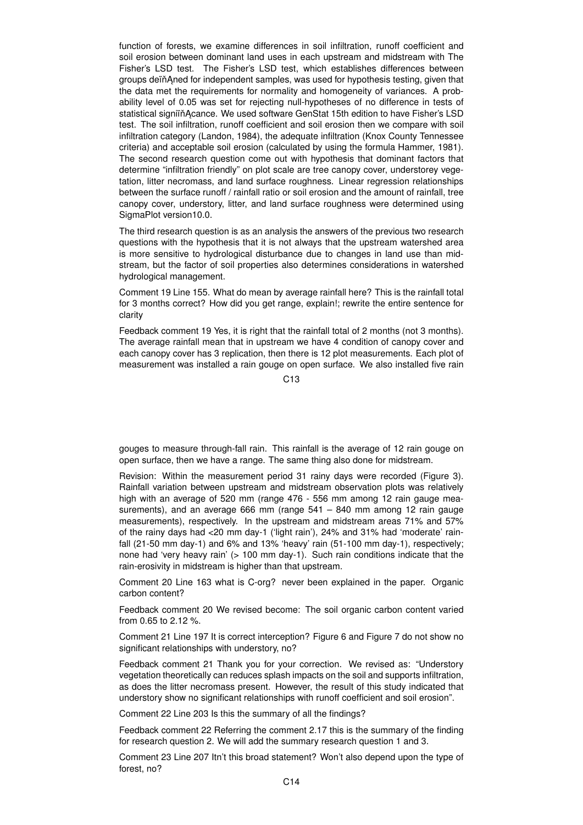function of forests, we examine differences in soil infiltration, runoff coefficient and soil erosion between dominant land uses in each upstream and midstream with The Fisher's LSD test. The Fisher's LSD test, which establishes differences between groups deïň Aned for independent samples, was used for hypothesis testing, given that the data met the requirements for normality and homogeneity of variances. A probability level of 0.05 was set for rejecting null-hypotheses of no difference in tests of statistical signiïň Acance. We used software GenStat 15th edition to have Fisher's LSD test. The soil infiltration, runoff coefficient and soil erosion then we compare with soil infiltration category (Landon, 1984), the adequate infiltration (Knox County Tennessee criteria) and acceptable soil erosion (calculated by using the formula Hammer, 1981). The second research question come out with hypothesis that dominant factors that determine "infiltration friendly" on plot scale are tree canopy cover, understorey vegetation, litter necromass, and land surface roughness. Linear regression relationships between the surface runoff / rainfall ratio or soil erosion and the amount of rainfall, tree canopy cover, understory, litter, and land surface roughness were determined using SigmaPlot version10.0.

The third research question is as an analysis the answers of the previous two research questions with the hypothesis that it is not always that the upstream watershed area is more sensitive to hydrological disturbance due to changes in land use than midstream, but the factor of soil properties also determines considerations in watershed hydrological management.

Comment 19 Line 155. What do mean by average rainfall here? This is the rainfall total for 3 months correct? How did you get range, explain!; rewrite the entire sentence for clarity

Feedback comment 19 Yes, it is right that the rainfall total of 2 months (not 3 months). The average rainfall mean that in upstream we have 4 condition of canopy cover and each canopy cover has 3 replication, then there is 12 plot measurements. Each plot of measurement was installed a rain gouge on open surface. We also installed five rain

 $C<sub>13</sub>$ 

gouges to measure through-fall rain. This rainfall is the average of 12 rain gouge on open surface, then we have a range. The same thing also done for midstream.

Revision: Within the measurement period 31 rainy days were recorded (Figure 3). Rainfall variation between upstream and midstream observation plots was relatively high with an average of 520 mm (range 476 - 556 mm among 12 rain gauge measurements), and an average 666 mm (range 541 – 840 mm among 12 rain gauge measurements), respectively. In the upstream and midstream areas 71% and 57% of the rainy days had <20 mm day-1 ('light rain'), 24% and 31% had 'moderate' rainfall (21-50 mm day-1) and 6% and 13% 'heavy' rain (51-100 mm day-1), respectively; none had 'very heavy rain' (> 100 mm day-1). Such rain conditions indicate that the rain-erosivity in midstream is higher than that upstream.

Comment 20 Line 163 what is C-org? never been explained in the paper. Organic carbon content?

Feedback comment 20 We revised become: The soil organic carbon content varied from 0.65 to 2.12 %.

Comment 21 Line 197 It is correct interception? Figure 6 and Figure 7 do not show no significant relationships with understory, no?

Feedback comment 21 Thank you for your correction. We revised as: "Understory vegetation theoretically can reduces splash impacts on the soil and supports infiltration, as does the litter necromass present. However, the result of this study indicated that understory show no significant relationships with runoff coefficient and soil erosion".

Comment 22 Line 203 Is this the summary of all the findings?

Feedback comment 22 Referring the comment 2.17 this is the summary of the finding for research question 2. We will add the summary research question 1 and 3.

Comment 23 Line 207 Itn't this broad statement? Won't also depend upon the type of forest, no?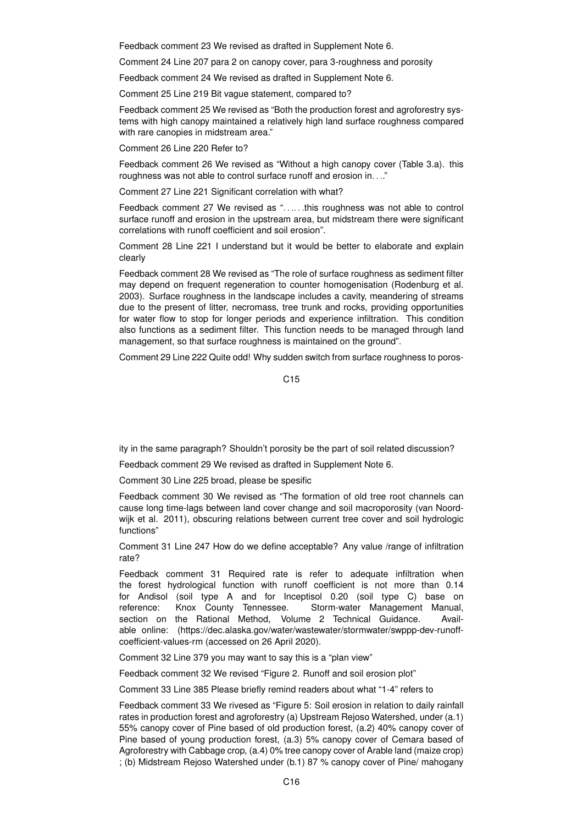Feedback comment 23 We revised as drafted in Supplement Note 6.

Comment 24 Line 207 para 2 on canopy cover, para 3-roughness and porosity

Feedback comment 24 We revised as drafted in Supplement Note 6.

Comment 25 Line 219 Bit vague statement, compared to?

Feedback comment 25 We revised as "Both the production forest and agroforestry systems with high canopy maintained a relatively high land surface roughness compared with rare canopies in midstream area."

Comment 26 Line 220 Refer to?

Feedback comment 26 We revised as "Without a high canopy cover (Table 3.a). this roughness was not able to control surface runoff and erosion in. . .."

Comment 27 Line 221 Significant correlation with what?

Feedback comment 27 We revised as "......this roughness was not able to control surface runoff and erosion in the upstream area, but midstream there were significant correlations with runoff coefficient and soil erosion".

Comment 28 Line 221 I understand but it would be better to elaborate and explain clearly

Feedback comment 28 We revised as "The role of surface roughness as sediment filter may depend on frequent regeneration to counter homogenisation (Rodenburg et al. 2003). Surface roughness in the landscape includes a cavity, meandering of streams due to the present of litter, necromass, tree trunk and rocks, providing opportunities for water flow to stop for longer periods and experience infiltration. This condition also functions as a sediment filter. This function needs to be managed through land management, so that surface roughness is maintained on the ground".

Comment 29 Line 222 Quite odd! Why sudden switch from surface roughness to poros-

C<sub>15</sub>

ity in the same paragraph? Shouldn't porosity be the part of soil related discussion?

Feedback comment 29 We revised as drafted in Supplement Note 6.

Comment 30 Line 225 broad, please be spesific

Feedback comment 30 We revised as "The formation of old tree root channels can cause long time-lags between land cover change and soil macroporosity (van Noordwijk et al. 2011), obscuring relations between current tree cover and soil hydrologic functions"

Comment 31 Line 247 How do we define acceptable? Any value /range of infiltration rate?

Feedback comment 31 Required rate is refer to adequate infiltration when the forest hydrological function with runoff coefficient is not more than 0.14 for Andisol (soil type A and for Inceptisol 0.20 (soil type C) base on reference: Knox County Tennessee. Storm-water Management Manual, section on the Rational Method, Volume 2 Technical Guidance. Available online: (https://dec.alaska.gov/water/wastewater/stormwater/swppp-dev-runoffcoefficient-values-rm (accessed on 26 April 2020).

Comment 32 Line 379 you may want to say this is a "plan view"

Feedback comment 32 We revised "Figure 2. Runoff and soil erosion plot"

Comment 33 Line 385 Please briefly remind readers about what "1-4" refers to

Feedback comment 33 We rivesed as "Figure 5: Soil erosion in relation to daily rainfall rates in production forest and agroforestry (a) Upstream Rejoso Watershed, under (a.1) 55% canopy cover of Pine based of old production forest, (a.2) 40% canopy cover of Pine based of young production forest, (a.3) 5% canopy cover of Cemara based of Agroforestry with Cabbage crop, (a.4) 0% tree canopy cover of Arable land (maize crop) ; (b) Midstream Rejoso Watershed under (b.1) 87 % canopy cover of Pine/ mahogany